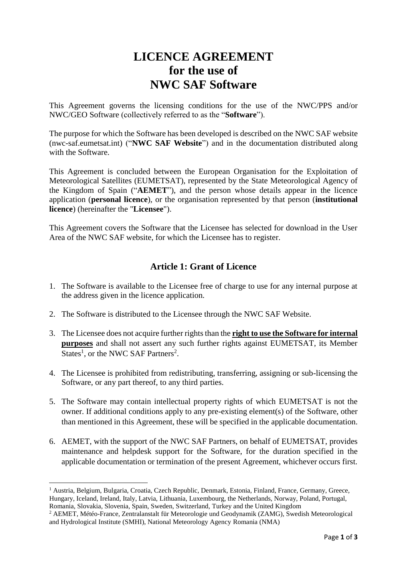# **LICENCE AGREEMENT for the use of NWC SAF Software**

This Agreement governs the licensing conditions for the use of the NWC/PPS and/or NWC/GEO Software (collectively referred to as the "**Software**").

The purpose for which the Software has been developed is described on the NWC SAF website (nwc-saf.eumetsat.int) ("**NWC SAF Website**") and in the documentation distributed along with the Software.

This Agreement is concluded between the European Organisation for the Exploitation of Meteorological Satellites (EUMETSAT), represented by the State Meteorological Agency of the Kingdom of Spain ("**AEMET**"), and the person whose details appear in the licence application (**personal licence**), or the organisation represented by that person (**institutional licence**) (hereinafter the "**Licensee**").

This Agreement covers the Software that the Licensee has selected for download in the User Area of the NWC SAF website, for which the Licensee has to register.

## **Article 1: Grant of Licence**

- 1. The Software is available to the Licensee free of charge to use for any internal purpose at the address given in the licence application.
- 2. The Software is distributed to the Licensee through the NWC SAF Website.
- 3. The Licensee does not acquire further rights than the **right to use the Software for internal purposes** and shall not assert any such further rights against EUMETSAT, its Member States<sup>1</sup>, or the NWC SAF Partners<sup>2</sup>.
- 4. The Licensee is prohibited from redistributing, transferring, assigning or sub-licensing the Software, or any part thereof, to any third parties.
- 5. The Software may contain intellectual property rights of which EUMETSAT is not the owner. If additional conditions apply to any pre-existing element(s) of the Software, other than mentioned in this Agreement, these will be specified in the applicable documentation.
- 6. AEMET, with the support of the NWC SAF Partners, on behalf of EUMETSAT, provides maintenance and helpdesk support for the Software, for the duration specified in the applicable documentation or termination of the present Agreement, whichever occurs first.

**<sup>.</sup>** <sup>1</sup> Austria, Belgium, Bulgaria, Croatia, Czech Republic, Denmark, Estonia, Finland, France, Germany, Greece, Hungary, Iceland, Ireland, Italy, Latvia, Lithuania, Luxembourg, the Netherlands, Norway, Poland, Portugal, Romania, Slovakia, Slovenia, Spain, Sweden, Switzerland, Turkey and the United Kingdom

<sup>2</sup> AEMET, Météo-France, Zentralanstalt für Meteorologie und Geodynamik (ZAMG), Swedish Meteorological and Hydrological Institute (SMHI), National Meteorology Agency Romania (NMA)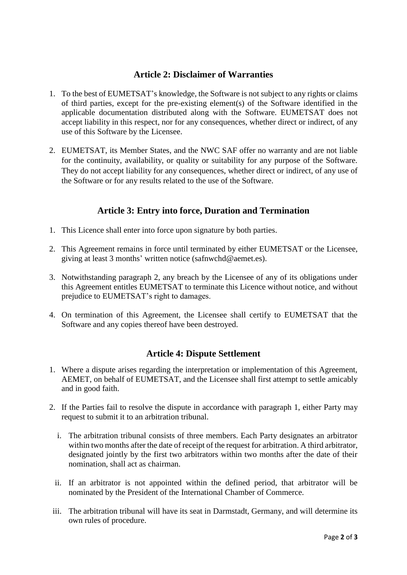#### **Article 2: Disclaimer of Warranties**

- 1. To the best of EUMETSAT's knowledge, the Software is not subject to any rights or claims of third parties, except for the pre-existing element(s) of the Software identified in the applicable documentation distributed along with the Software. EUMETSAT does not accept liability in this respect, nor for any consequences, whether direct or indirect, of any use of this Software by the Licensee.
- 2. EUMETSAT, its Member States, and the NWC SAF offer no warranty and are not liable for the continuity, availability, or quality or suitability for any purpose of the Software. They do not accept liability for any consequences, whether direct or indirect, of any use of the Software or for any results related to the use of the Software.

## **Article 3: Entry into force, Duration and Termination**

- 1. This Licence shall enter into force upon signature by both parties.
- 2. This Agreement remains in force until terminated by either EUMETSAT or the Licensee, giving at least 3 months' written notice (safnwchd@aemet.es).
- 3. Notwithstanding paragraph 2, any breach by the Licensee of any of its obligations under this Agreement entitles EUMETSAT to terminate this Licence without notice, and without prejudice to EUMETSAT's right to damages.
- 4. On termination of this Agreement, the Licensee shall certify to EUMETSAT that the Software and any copies thereof have been destroyed.

### **Article 4: Dispute Settlement**

- 1. Where a dispute arises regarding the interpretation or implementation of this Agreement, AEMET, on behalf of EUMETSAT, and the Licensee shall first attempt to settle amicably and in good faith.
- 2. If the Parties fail to resolve the dispute in accordance with paragraph 1, either Party may request to submit it to an arbitration tribunal.
	- i. The arbitration tribunal consists of three members. Each Party designates an arbitrator within two months after the date of receipt of the request for arbitration. A third arbitrator, designated jointly by the first two arbitrators within two months after the date of their nomination, shall act as chairman.
	- ii. If an arbitrator is not appointed within the defined period, that arbitrator will be nominated by the President of the International Chamber of Commerce.
- iii. The arbitration tribunal will have its seat in Darmstadt, Germany, and will determine its own rules of procedure.